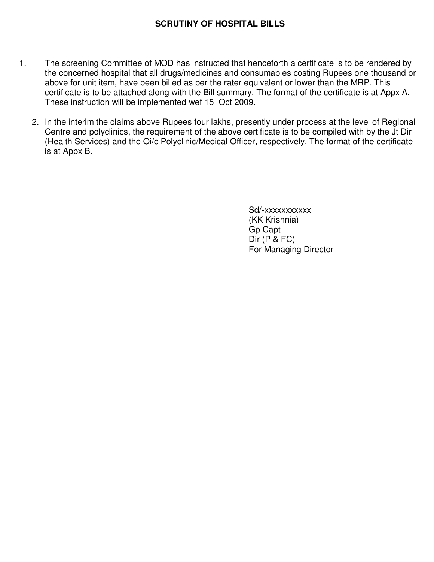## **SCRUTINY OF HOSPITAL BILLS**

- 1. The screening Committee of MOD has instructed that henceforth a certificate is to be rendered by the concerned hospital that all drugs/medicines and consumables costing Rupees one thousand or above for unit item, have been billed as per the rater equivalent or lower than the MRP. This certificate is to be attached along with the Bill summary. The format of the certificate is at Appx A. These instruction will be implemented wef 15 Oct 2009.
	- 2. In the interim the claims above Rupees four lakhs, presently under process at the level of Regional Centre and polyclinics, the requirement of the above certificate is to be compiled with by the Jt Dir (Health Services) and the Oi/c Polyclinic/Medical Officer, respectively. The format of the certificate is at Appx B.

 Sd/-xxxxxxxxxxx (KK Krishnia) Gp Capt Dir (P & FC) For Managing Director